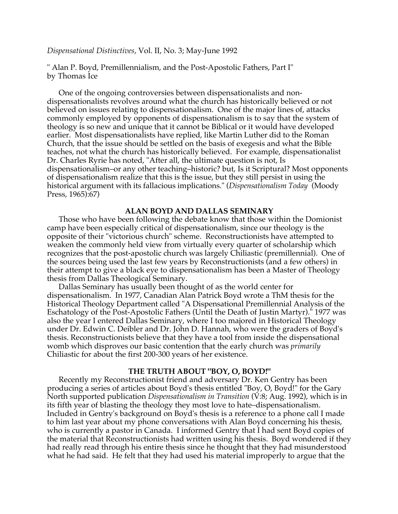# *Dispensational Distinctives*, Vol. II, No. 3; May-June 1992

" Alan P. Boyd, Premillennialism, and the Post-Apostolic Fathers, Part I" by Thomas Ice

One of the ongoing controversies between dispensationalists and nondispensationalists revolves around what the church has historically believed or not believed on issues relating to dispensationalism. One of the major lines of, attacks commonly employed by opponents of dispensationalism is to say that the system of theology is so new and unique that it cannot be Biblical or it would have developed earlier. Most dispensationalists have replied, like Martin Luther did to the Roman Church, that the issue should be settled on the basis of exegesis and what the Bible teaches, not what the church has historically believed. For example, dispensationalist Dr. Charles Ryrie has noted, "After all, the ultimate question is not, Is dispensationalism–or any other teaching–historic? but, Is it Scriptural? Most opponents of dispensationalism realize that this is the issue, but they still persist in using the historical argument with its fallacious implications." (*Dispensationalism Today* (Moody Press, 1965):67)

# **ALAN BOYD AND DALLAS SEMINARY**

Those who have been following the debate know that those within the Domionist camp have been especially critical of dispensationalism, since our theology is the opposite of their "victorious church" scheme. Reconstructionists have attempted to weaken the commonly held view from virtually every quarter of scholarship which recognizes that the post-apostolic church was largely Chiliastic (premillennial). One of the sources being used the last few years by Reconstructionists (and a few others) in their attempt to give a black eye to dispensationalism has been a Master of Theology thesis from Dallas Theological Seminary.

Dallas Seminary has usually been thought of as the world center for dispensationalism. In 1977, Canadian Alan Patrick Boyd wrote a ThM thesis for the Historical Theology Department called "A Dispensational Premillennial Analysis of the Eschatology of the Post-Apostolic Fathers (Until the Death of Justin Martyr)." 1977 was also the year I entered Dallas Seminary, where I too majored in Historical Theology under Dr. Edwin C. Deibler and Dr. John D. Hannah, who were the graders of Boyd's thesis. Reconstructionists believe that they have a tool from inside the dispensational womb which disproves our basic contention that the early church was *primarily* Chiliastic for about the first 200-300 years of her existence.

# **THE TRUTH ABOUT "BOY, O, BOYD!"**

Recently my Reconstructionist friend and adversary Dr. Ken Gentry has been producing a series of articles about Boyd's thesis entitled "Boy, O, Boyd!" for the Gary North supported publication *Dispensationalism in Transition* (V:8; Aug. 1992), which is in its fifth year of blasting the theology they most love to hate–dispensationalism. Included in Gentry's background on Boyd's thesis is a reference to a phone call I made to him last year about my phone conversations with Alan Boyd concerning his thesis, who is currently a pastor in Canada. I informed Gentry that I had sent Boyd copies of the material that Reconstructionists had written using his thesis. Boyd wondered if they had really read through his entire thesis since he thought that they had misunderstood what he had said. He felt that they had used his material improperly to argue that the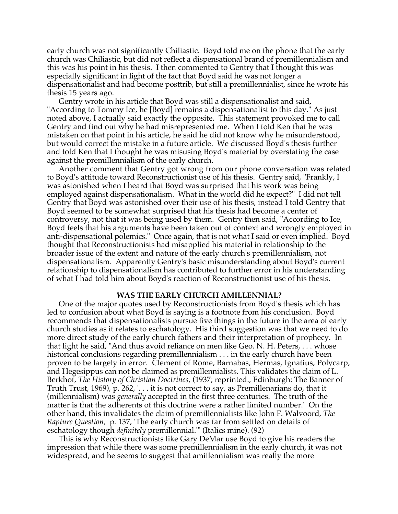early church was not significantly Chiliastic. Boyd told me on the phone that the early church was Chiliastic, but did not reflect a dispensational brand of premillennialism and this was his point in his thesis. I then commented to Gentry that I thought this was especially significant in light of the fact that Boyd said he was not longer a dispensationalist and had become posttrib, but still a premillennialist, since he wrote his thesis 15 years ago.

Gentry wrote in his article that Boyd was still a dispensationalist and said, "According to Tommy Ice, he [Boyd] remains a dispensationalist to this day." As just noted above, I actually said exactly the opposite. This statement provoked me to call Gentry and find out why he had misrepresented me. When I told Ken that he was mistaken on that point in his article, he said he did not know why he misunderstood, but would correct the mistake in a future article. We discussed Boyd's thesis further and told Ken that I thought he was misusing Boyd's material by overstating the case against the premillennialism of the early church.

Another comment that Gentry got wrong from our phone conversation was related to Boyd's attitude toward Reconstructionist use of his thesis. Gentry said, "Frankly, I was astonished when I heard that Boyd was surprised that his work was being employed against dispensationalism. What in the world did he expect?" I did not tell Gentry that Boyd was astonished over their use of his thesis, instead I told Gentry that Boyd seemed to be somewhat surprised that his thesis had become a center of controversy, not that it was being used by them. Gentry then said, "According to Ice, Boyd feels that his arguments have been taken out of context and wrongly employed in anti-dispensational polemics." Once again, that is not what I said or even implied. Boyd thought that Reconstructionists had misapplied his material in relationship to the broader issue of the extent and nature of the early church's premillennialism, not dispensationalism. Apparently Gentry's basic misunderstanding about Boyd's current relationship to dispensationalism has contributed to further error in his understanding of what I had told him about Boyd's reaction of Reconstructionist use of his thesis.

### **WAS THE EARLY CHURCH AMILLENNIAL?**

One of the major quotes used by Reconstructionists from Boyd's thesis which has led to confusion about what Boyd is saying is a footnote from his conclusion. Boyd recommends that dispensationalists pursue five things in the future in the area of early church studies as it relates to eschatology. His third suggestion was that we need to do more direct study of the early church fathers and their interpretation of prophecy. In that light he said, "And thus avoid reliance on men like Geo. N. H. Peters, . . . whose historical conclusions regarding premillennialism . . . in the early church have been proven to be largely in error. Clement of Rome, Barnabas, Hermas, Ignatius, Polycarp, and Hegesippus can not be claimed as premillennialists. This validates the claim of L. Berkhof, *The History of Christian Doctrines*, (1937; reprinted., Edinburgh: The Banner of Truth Trust, 1969), p. 262, '. . . it is not correct to say, as Premillenarians do, that it (millennialism) was *generally* accepted in the first three centuries. The truth of the matter is that the adherents of this doctrine were a rather limited number.' On the other hand, this invalidates the claim of premillennialists like John F. Walvoord, *The Rapture Question,* p*.* 137, 'The early church was far from settled on details of eschatology though *definitely* premillennial.'" (Italics mine). (92)

This is why Reconstructionists like Gary DeMar use Boyd to give his readers the impression that while there was some premillennialism in the early church, it was not widespread, and he seems to suggest that amillennialism was really the more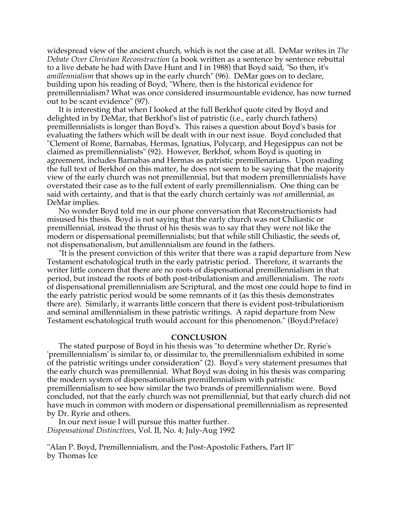widespread view of the ancient church, which is not the case at all. DeMar writes in *The Debate Over Christian Reconstruction* (a book written as a sentence by sentence rebuttal to a live debate he had with Dave Hunt and I in 1988) that Boyd said, "So then, it's *amillennialism* that shows up in the early church" (96). DeMar goes on to declare, building upon his reading of Boyd, "Where, then is the historical evidence for premillennialism? What was once considered insurmountable evidence, has now turned out to be scant evidence" (97).

It is interesting that when I looked at the full Berkhof quote cited by Boyd and delighted in by DeMar, that Berkhof's list of patristic (i.e., early church fathers) premillennialists is longer than Boyd's. This raises a question about Boyd's basis for evaluating the fathers which will be dealt with in our next issue. Boyd concluded that "Clement of Rome, Barnabas, Hermas, Ignatius, Polycarp, and Hegesippus can not be claimed as premillennialists" (92). However, Berkhof, whom Boyd is quoting in agreement, includes Barnabas and Hermas as patristic premillenarians. Upon reading the full text of Berkhof on this matter, he does not seem to be saying that the majority view of the early church was not premillennial, but that modern premillennialists have overstated their case as to the full extent of early premillennialism. One thing can be said with certainty, and that is that the early church certainly was *not* amillennial, as DeMar implies.

No wonder Boyd told me in our phone conversation that Reconstructionists had misused his thesis. Boyd is not saying that the early church was not Chiliastic or premillennial, instead the thrust of his thesis was to say that they were not like the modern or dispensational premillennialists; but that while still Chiliastic, the seeds of, not dispensationalism, but amillennialism are found in the fathers.

"It is the present conviction of this writer that there was a rapid departure from New Testament eschatological truth in the early patristic period. Therefore, it warrants the writer little concern that there are no roots of dispensational premillennialism in that period, but instead the roots of both post-tribulationism and amillennialism. The *roots* of dispensational premillennialism are Scriptural, and the most one could hope to find in the early patristic period would be some remnants of it (as this thesis demonstrates there are). Similarly, it warrants little concern that there is evident post-tribulationism and seminal amillennialism in these patristic writings. A rapid departure from New Testament eschatological truth would account for this phenomenon." (Boyd:Preface)

# **CONCLUSION**

The stated purpose of Boyd in his thesis was "to determine whether Dr. Ryrie's 'premillennialism' is similar to, or dissimilar to, the premillennialism exhibited in some of the patristic writings under consideration" (2). Boyd's very statement presumes that the early church was premillennial. What Boyd was doing in his thesis was comparing the modern system of dispensationalism premillennialism with patristic premillennialism to see how similar the two brands of premillennialism were. Boyd concluded, not that the early church was not premillennial, but that early church did not have much in common with modern or dispensational premillennialism as represented by Dr. Ryrie and others.

In our next issue I will pursue this matter further. *Dispensational Distinctives*, Vol. II, No. 4; July-Aug 1992

"Alan P. Boyd, Premillennialism, and the Post-Apostolic Fathers, Part II" by Thomas Ice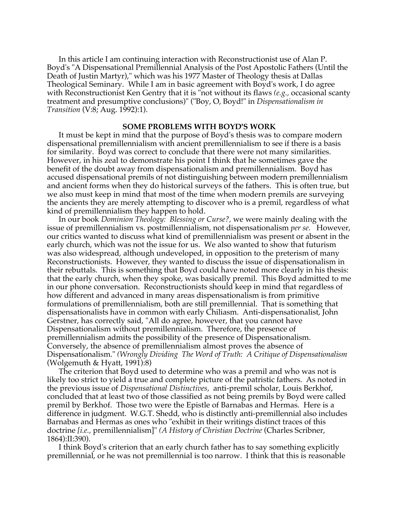In this article I am continuing interaction with Reconstructionist use of Alan P. Boyd's "A Dispensational Premillennial Analysis of the Post Apostolic Fathers (Until the Death of Justin Martyr)," which was his 1977 Master of Theology thesis at Dallas Theological Seminary. While I am in basic agreement with Boyd's work, I do agree with Reconstructionist Ken Gentry that it is "not without its flaws *(e.g.,* occasional scanty treatment and presumptive conclusions)" ("Boy, O, Boyd!" in *Dispensationalism in Transition* (V:8; Aug. 1992):1).

# **SOME PROBLEMS WITH BOYD'S WORK**

It must be kept in mind that the purpose of Boyd's thesis was to compare modern dispensational premillennialism with ancient premillennialism to see if there is a basis for similarity. Boyd was correct to conclude that there were not many similarities. However, in his zeal to demonstrate his point I think that he sometimes gave the benefit of the doubt away from dispensationalism and premillennialism. Boyd has accused dispensational premils of not distinguishing between modern premillennialism and ancient forms when they do historical surveys of the fathers. This is often true, but we also must keep in mind that most of the time when modern premils are surveying the ancients they are merely attempting to discover who is a premil, regardless of what kind of premillennialism they happen to hold.

In our book *Dominion Theology: Blessing or Curse?,* we were mainly dealing with the issue of premillennialism vs. postmillennialism, not dispensationalism *per se.* However, our critics wanted to discuss what kind of premillennialism was present or absent in the early church, which was not the issue for us. We also wanted to show that futurism was also widespread, although undeveloped, in opposition to the preterism of many Reconstructionists. However, they wanted to discuss the issue of dispensationalism in their rebuttals. This is something that Boyd could have noted more clearly in his thesis: that the early church, when they spoke, was basically premil. This Boyd admitted to me in our phone conversation. Reconstructionists should keep in mind that regardless of how different and advanced in many areas dispensationalism is from primitive formulations of premillennialism, both are still premillennial. That is something that dispensationalists have in common with early Chiliasm. Anti-dispensationalist, John Gerstner, has correctly said, "All do agree, however, that you cannot have Dispensationalism without premillennialism. Therefore, the presence of premillennialism admits the possibility of the presence of Dispensationalism. Conversely, the absence of premillennialism almost proves the absence of Dispensationalism." *(Wrongly Dividing The Word of Truth: A Critique of Dispensationalism* (Wolgemuth & Hyatt, 1991):8)

The criterion that Boyd used to determine who was a premil and who was not is likely too strict to yield a true and complete picture of the patristic fathers. As noted in the previous issue of *Dispensational Distinctives,* anti-premil scholar, Louis Berkhof, concluded that at least two of those classified as not being premils by Boyd were called premil by Berkhof. Those two were the Epistle of Barnabas and Hermas. Here is a difference in judgment. W.G.T. Shedd, who is distinctly anti-premillennial also includes Barnabas and Hermas as ones who "exhibit in their writings distinct traces of this doctrine *[i.e.,* premillennialism]" *(A History of Christian Doctrine* (Charles Scribner, 1864):II:390).

I think Boyd's criterion that an early church father has to say something explicitly premillennial, or he was not premillennial is too narrow. I think that this is reasonable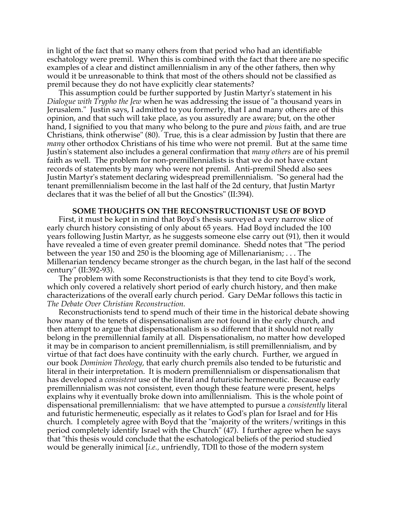in light of the fact that so many others from that period who had an identifiable eschatology were premil. When this is combined with the fact that there are no specific examples of a clear and distinct amillennialism in any of the other fathers, then why would it be unreasonable to think that most of the others should not be classified as premil because they do not have explicitly clear statements?

This assumption could be further supported by Justin Martyr's statement in his *Dialogue with Trypho the Jew* when he was addressing the issue of "a thousand years in Jerusalem." Justin says, I admitted to you formerly, that I and many others are of this opinion, and that such will take place, as you assuredly are aware; but, on the other hand, I signified to you that many who belong to the pure and *pious* faith, and are true Christians, think otherwise" (80). True, this is a clear admission by Justin that there are *many* other orthodox Christians of his time who were not premil. But at the same time Justin's statement also includes a general confirmation that *many others* are of his premil faith as well. The problem for non-premillennialists is that we do not have extant records of statements by many who were not premil. Anti-premil Shedd also sees Justin Martyr's statement declaring widespread premillennialism. "So general had the tenant premillennialism become in the last half of the 2d century, that Justin Martyr declares that it was the belief of all but the Gnostics" (II:394).

### **SOME THOUGHTS ON THE RECONSTRUCTIONIST USE OF BOYD**

First, it must be kept in mind that Boyd's thesis surveyed a very narrow slice of early church history consisting of only about 65 years. Had Boyd included the 100 years following Justin Martyr, as he suggests someone else carry out (91), then it would have revealed a time of even greater premil dominance. Shedd notes that "The period between the year 150 and 250 is the blooming age of Millenarianism; . . . The Millenarian tendency became stronger as the church began, in the last half of the second century" (II:392-93).

The problem with some Reconstructionists is that they tend to cite Boyd's work, which only covered a relatively short period of early church history, and then make characterizations of the overall early church period. Gary DeMar follows this tactic in *The Debate Over Christian Reconstruction.*

Reconstructionists tend to spend much of their time in the historical debate showing how many of the tenets of dispensationalism are not found in the early church, and then attempt to argue that dispensationalism is so different that it should not really belong in the premillennial family at all. Dispensationalism, no matter how developed it may be in comparison to ancient premillennialism, is still premillennialism, and by virtue of that fact does have continuity with the early church. Further, we argued in our book *Dominion Theology,* that early church premils also tended to be futuristic and literal in their interpretation. It is modern premillennialism or dispensationalism that has developed a *consistent* use of the literal and futuristic hermeneutic. Because early premillennialism was not consistent, even though these feature were present, helps explains why it eventually broke down into amillennialism. This is the whole point of dispensational premillennialism: that we have attempted to pursue a *consistently* literal and futuristic hermeneutic, especially as it relates to God's plan for Israel and for His church. I completely agree with Boyd that the "majority of the writers/writings in this period completely identify Israel with the Church" (47). I further agree when he says that "this thesis would conclude that the eschatological beliefs of the period studied would be generally inimical [*i.e.,* unfriendly, TDIl to those of the modern system